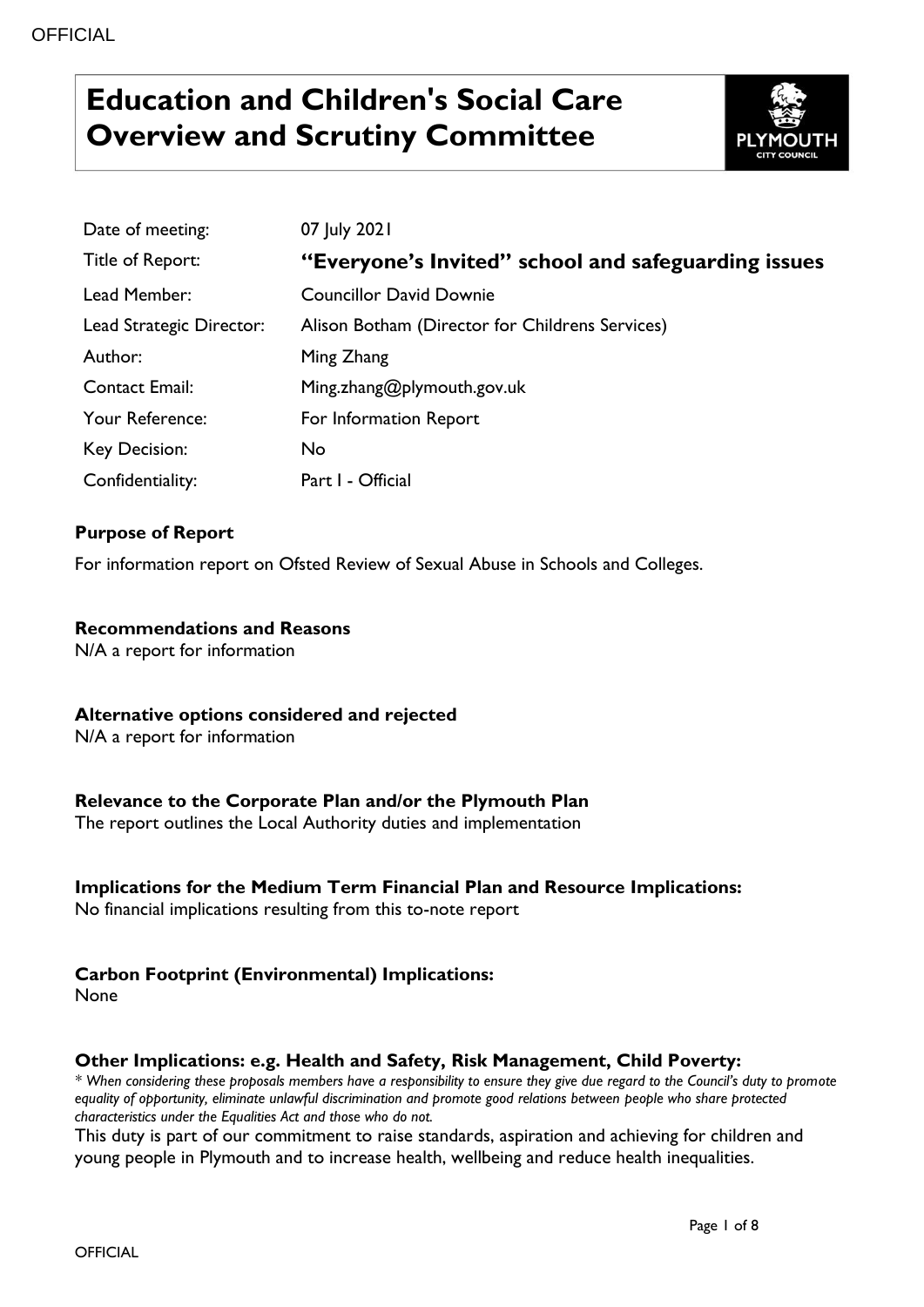# **Education and Children's Social Care Overview and Scrutiny Committee**



| Date of meeting:         | 07 July 2021                                        |
|--------------------------|-----------------------------------------------------|
| Title of Report:         | "Everyone's Invited" school and safeguarding issues |
| Lead Member:             | <b>Councillor David Downie</b>                      |
| Lead Strategic Director: | Alison Botham (Director for Childrens Services)     |
| Author:                  | Ming Zhang                                          |
| <b>Contact Email:</b>    | Ming.zhang@plymouth.gov.uk                          |
| Your Reference:          | For Information Report                              |
| Key Decision:            | No.                                                 |
| Confidentiality:         | Part I - Official                                   |

### **Purpose of Report**

For information report on Ofsted Review of Sexual Abuse in Schools and Colleges.

### **Recommendations and Reasons**

N/A a report for information

### **Alternative options considered and rejected**

N/A a report for information

### **Relevance to the Corporate Plan and/or the Plymouth Plan**

The report outlines the Local Authority duties and implementation

### **Implications for the Medium Term Financial Plan and Resource Implications:**

No financial implications resulting from this to-note report

### **Carbon Footprint (Environmental) Implications:**

None

### **Other Implications: e.g. Health and Safety, Risk Management, Child Poverty:**

*\* When considering these proposals members have a responsibility to ensure they give due regard to the Council's duty to promote equality of opportunity, eliminate unlawful discrimination and promote good relations between people who share protected characteristics under the Equalities Act and those who do not.*

This duty is part of our commitment to raise standards, aspiration and achieving for children and young people in Plymouth and to increase health, wellbeing and reduce health inequalities.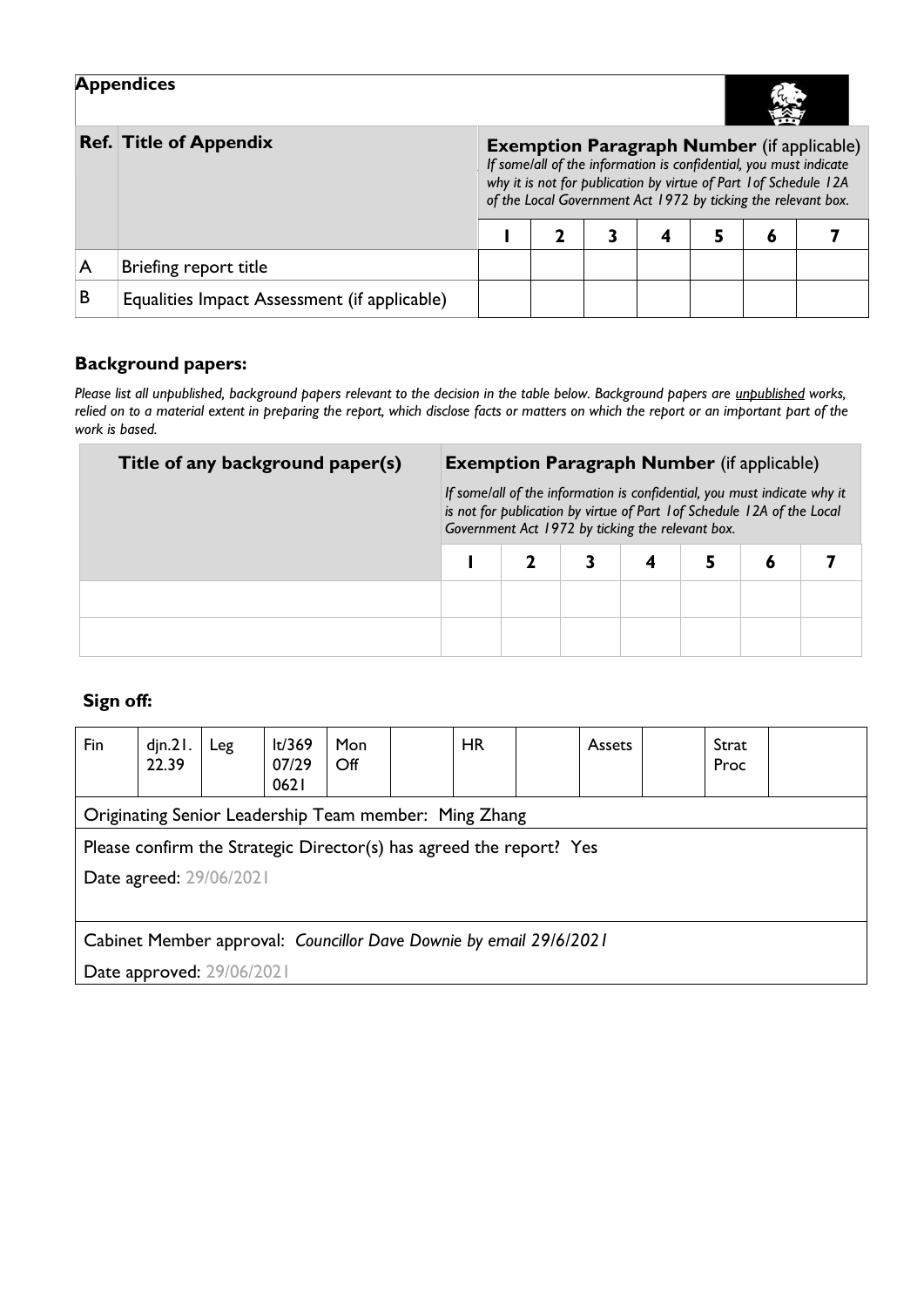|                               | <b>Appendices</b>                            |             |                                                                                                                                                                                                                                                              |  |  |  |  |  |  |  |  |
|-------------------------------|----------------------------------------------|-------------|--------------------------------------------------------------------------------------------------------------------------------------------------------------------------------------------------------------------------------------------------------------|--|--|--|--|--|--|--|--|
| <b>Ref. Title of Appendix</b> |                                              |             | <b>Exemption Paragraph Number</b> (if applicable)<br>If some/all of the information is confidential, you must indicate<br>why it is not for publication by virtue of Part 1 of Schedule 12A<br>of the Local Government Act 1972 by ticking the relevant box. |  |  |  |  |  |  |  |  |
|                               |                                              | 5<br>4<br>6 |                                                                                                                                                                                                                                                              |  |  |  |  |  |  |  |  |
| A                             | Briefing report title                        |             |                                                                                                                                                                                                                                                              |  |  |  |  |  |  |  |  |
| В                             | Equalities Impact Assessment (if applicable) |             |                                                                                                                                                                                                                                                              |  |  |  |  |  |  |  |  |

## **Background papers:**

*Please list all unpublished, background papers relevant to the decision in the table below. Background papers are unpublished works, relied on to a material extent in preparing the report, which disclose facts or matters on which the report or an important part of the work is based.*

| Title of any background paper(s) | <b>Exemption Paragraph Number</b> (if applicable)                                                                                                                                                       |  |  |  |  |   |  |  |
|----------------------------------|---------------------------------------------------------------------------------------------------------------------------------------------------------------------------------------------------------|--|--|--|--|---|--|--|
|                                  | If some/all of the information is confidential, you must indicate why it<br>is not for publication by virtue of Part 1 of Schedule 12A of the Local<br>Government Act 1972 by ticking the relevant box. |  |  |  |  |   |  |  |
|                                  |                                                                                                                                                                                                         |  |  |  |  | 6 |  |  |
|                                  |                                                                                                                                                                                                         |  |  |  |  |   |  |  |
|                                  |                                                                                                                                                                                                         |  |  |  |  |   |  |  |

# **Sign off:**

| Fin                                                                 | $d$ jn. $21$ .<br>22.39                               | Leg | lt/369<br>07/29<br>0621 | Mon<br>$\mathsf{Off}$ |  | <b>HR</b> |  | <b>Assets</b> |  | Strat<br>Proc |  |
|---------------------------------------------------------------------|-------------------------------------------------------|-----|-------------------------|-----------------------|--|-----------|--|---------------|--|---------------|--|
|                                                                     | Originating Senior Leadership Team member: Ming Zhang |     |                         |                       |  |           |  |               |  |               |  |
| Please confirm the Strategic Director(s) has agreed the report? Yes |                                                       |     |                         |                       |  |           |  |               |  |               |  |
| Date agreed: 29/06/2021                                             |                                                       |     |                         |                       |  |           |  |               |  |               |  |
|                                                                     |                                                       |     |                         |                       |  |           |  |               |  |               |  |
| Cabinet Member approval: Councillor Dave Downie by email 29/6/2021  |                                                       |     |                         |                       |  |           |  |               |  |               |  |
| Date approved: 29/06/2021                                           |                                                       |     |                         |                       |  |           |  |               |  |               |  |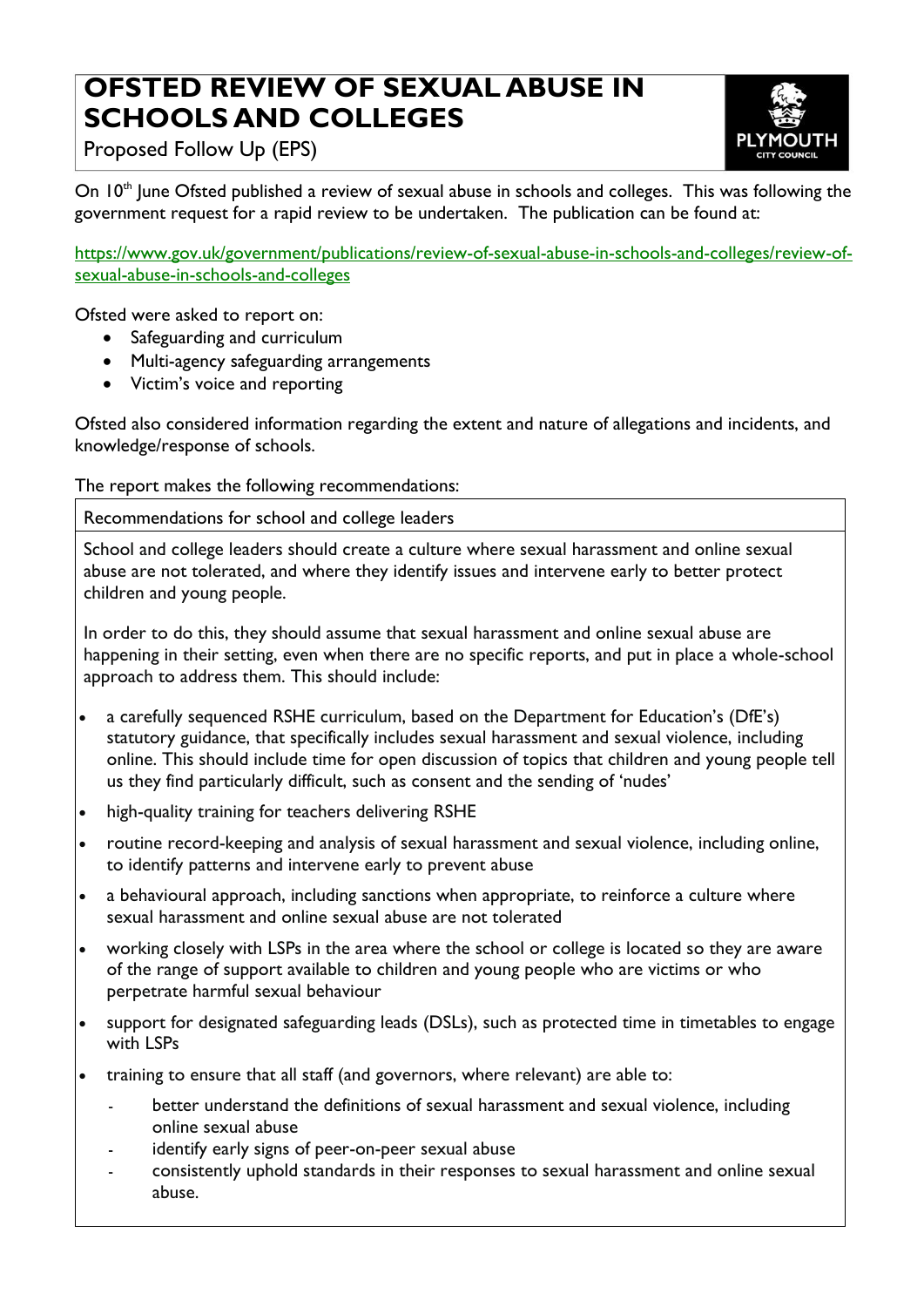# **OFSTED REVIEW OF SEXUAL ABUSE IN SCHOOLS AND COLLEGES**



Proposed Follow Up (EPS)

On 10<sup>th</sup> June Ofsted published a review of sexual abuse in schools and colleges. This was following the government request for a rapid review to be undertaken. The publication can be found at:

[https://www.gov.uk/government/publications/review-of-sexual-abuse-in-schools-and-colleges/review-of](https://www.gov.uk/government/publications/review-of-sexual-abuse-in-schools-and-colleges/review-of-sexual-abuse-in-schools-and-colleges)[sexual-abuse-in-schools-and-colleges](https://www.gov.uk/government/publications/review-of-sexual-abuse-in-schools-and-colleges/review-of-sexual-abuse-in-schools-and-colleges)

Ofsted were asked to report on:

- Safeguarding and curriculum
- Multi-agency safeguarding arrangements
- Victim's voice and reporting

Ofsted also considered information regarding the extent and nature of allegations and incidents, and knowledge/response of schools.

The report makes the following recommendations:

Recommendations for school and college leaders

School and college leaders should create a culture where sexual harassment and online sexual abuse are not tolerated, and where they identify issues and intervene early to better protect children and young people.

In order to do this, they should assume that sexual harassment and online sexual abuse are happening in their setting, even when there are no specific reports, and put in place a whole-school approach to address them. This should include:

- a carefully sequenced RSHE curriculum, based on the Department for Education's (DfE's) statutory guidance, that specifically includes sexual harassment and sexual violence, including online. This should include time for open discussion of topics that children and young people tell us they find particularly difficult, such as consent and the sending of 'nudes'
- high-quality training for teachers delivering RSHE
- routine record-keeping and analysis of sexual harassment and sexual violence, including online, to identify patterns and intervene early to prevent abuse
- a behavioural approach, including sanctions when appropriate, to reinforce a culture where sexual harassment and online sexual abuse are not tolerated
- working closely with LSPs in the area where the school or college is located so they are aware of the range of support available to children and young people who are victims or who perpetrate harmful sexual behaviour
- support for designated safeguarding leads (DSLs), such as protected time in timetables to engage with LSPs
- training to ensure that all staff (and governors, where relevant) are able to:
	- better understand the definitions of sexual harassment and sexual violence, including online sexual abuse
	- identify early signs of peer-on-peer sexual abuse
	- consistently uphold standards in their responses to sexual harassment and online sexual abuse.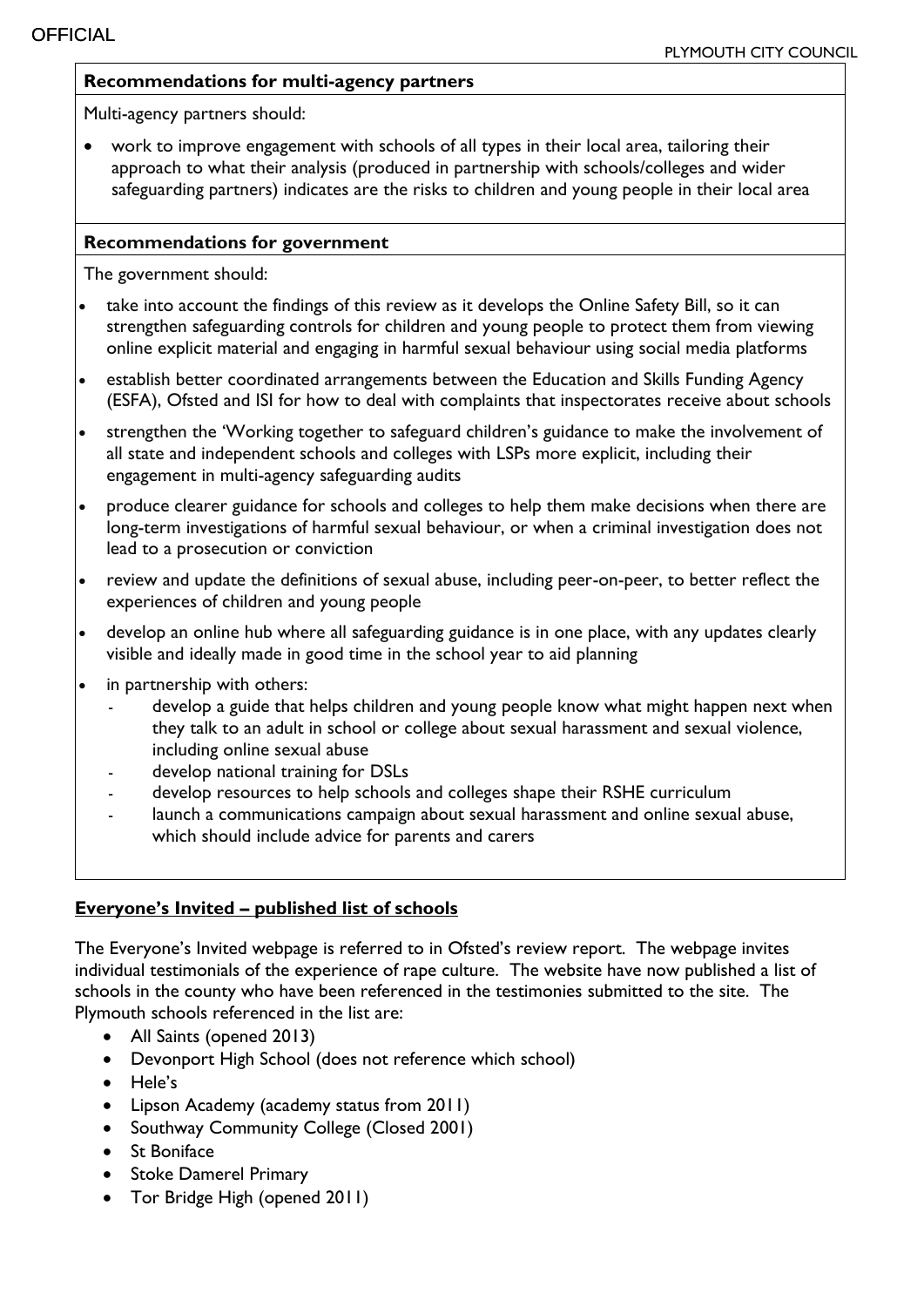### **Recommendations for multi-agency partners**

Multi-agency partners should:

 work to improve engagement with schools of all types in their local area, tailoring their approach to what their analysis (produced in partnership with schools/colleges and wider safeguarding partners) indicates are the risks to children and young people in their local area

### **Recommendations for government**

The government should:

- take into account the findings of this review as it develops the Online Safety Bill, so it can strengthen safeguarding controls for children and young people to protect them from viewing online explicit material and engaging in harmful sexual behaviour using social media platforms
- establish better coordinated arrangements between the Education and Skills Funding Agency (ESFA), Ofsted and ISI for how to deal with complaints that inspectorates receive about schools
- strengthen the 'Working together to safeguard children's guidance to make the involvement of all state and independent schools and colleges with LSPs more explicit, including their engagement in multi-agency safeguarding audits
- produce clearer guidance for schools and colleges to help them make decisions when there are long-term investigations of harmful sexual behaviour, or when a criminal investigation does not lead to a prosecution or conviction
- review and update the definitions of sexual abuse, including peer-on-peer, to better reflect the experiences of children and young people
- develop an online hub where all safeguarding guidance is in one place, with any updates clearly visible and ideally made in good time in the school year to aid planning
- in partnership with others:
	- develop a guide that helps children and young people know what might happen next when they talk to an adult in school or college about sexual harassment and sexual violence, including online sexual abuse
	- develop national training for DSLs
	- develop resources to help schools and colleges shape their RSHE curriculum
	- launch a communications campaign about sexual harassment and online sexual abuse, which should include advice for parents and carers

# **Everyone's Invited – published list of schools**

The Everyone's Invited webpage is referred to in Ofsted's review report. The webpage invites individual testimonials of the experience of rape culture. The website have now published a list of schools in the county who have been referenced in the testimonies submitted to the site. The Plymouth schools referenced in the list are:

- All Saints (opened 2013)
- Devonport High School (does not reference which school)
- Hele's
- Lipson Academy (academy status from 2011)
- Southway Community College (Closed 2001)
- **St Boniface**
- Stoke Damerel Primary
- Tor Bridge High (opened 2011)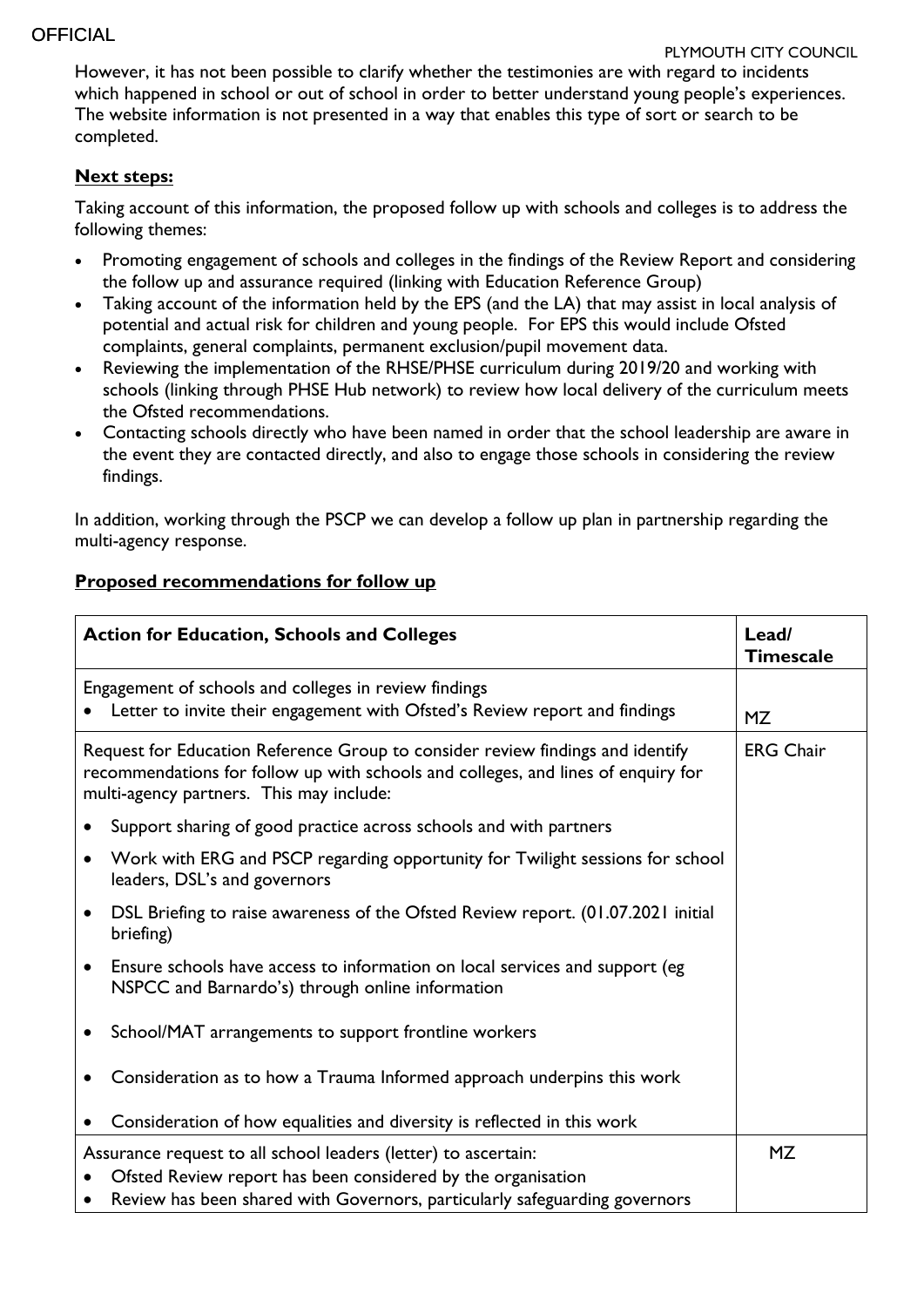However, it has not been possible to clarify whether the testimonies are with regard to incidents which happened in school or out of school in order to better understand young people's experiences. The website information is not presented in a way that enables this type of sort or search to be completed.

### **Next steps:**

Taking account of this information, the proposed follow up with schools and colleges is to address the following themes:

- Promoting engagement of schools and colleges in the findings of the Review Report and considering the follow up and assurance required (linking with Education Reference Group)
- Taking account of the information held by the EPS (and the LA) that may assist in local analysis of potential and actual risk for children and young people. For EPS this would include Ofsted complaints, general complaints, permanent exclusion/pupil movement data.
- Reviewing the implementation of the RHSE/PHSE curriculum during 2019/20 and working with schools (linking through PHSE Hub network) to review how local delivery of the curriculum meets the Ofsted recommendations.
- Contacting schools directly who have been named in order that the school leadership are aware in the event they are contacted directly, and also to engage those schools in considering the review findings.

In addition, working through the PSCP we can develop a follow up plan in partnership regarding the multi-agency response.

## **Proposed recommendations for follow up**

| <b>Action for Education, Schools and Colleges</b>                                                                                                                                                               | Lead/<br><b>Timescale</b>                                                                                                                                                                                    |           |
|-----------------------------------------------------------------------------------------------------------------------------------------------------------------------------------------------------------------|--------------------------------------------------------------------------------------------------------------------------------------------------------------------------------------------------------------|-----------|
|                                                                                                                                                                                                                 | Engagement of schools and colleges in review findings<br>Letter to invite their engagement with Ofsted's Review report and findings                                                                          | <b>MZ</b> |
| Request for Education Reference Group to consider review findings and identify<br>recommendations for follow up with schools and colleges, and lines of enquiry for<br>multi-agency partners. This may include: | <b>ERG Chair</b>                                                                                                                                                                                             |           |
|                                                                                                                                                                                                                 | Support sharing of good practice across schools and with partners                                                                                                                                            |           |
|                                                                                                                                                                                                                 | Work with ERG and PSCP regarding opportunity for Twilight sessions for school<br>leaders, DSL's and governors                                                                                                |           |
|                                                                                                                                                                                                                 | DSL Briefing to raise awareness of the Ofsted Review report. (01.07.2021 initial<br>briefing)                                                                                                                |           |
| $\bullet$                                                                                                                                                                                                       | Ensure schools have access to information on local services and support (eg<br>NSPCC and Barnardo's) through online information                                                                              |           |
|                                                                                                                                                                                                                 | School/MAT arrangements to support frontline workers                                                                                                                                                         |           |
|                                                                                                                                                                                                                 | Consideration as to how a Trauma Informed approach underpins this work                                                                                                                                       |           |
|                                                                                                                                                                                                                 | Consideration of how equalities and diversity is reflected in this work                                                                                                                                      |           |
|                                                                                                                                                                                                                 | Assurance request to all school leaders (letter) to ascertain:<br>Ofsted Review report has been considered by the organisation<br>Review has been shared with Governors, particularly safeguarding governors | MZ        |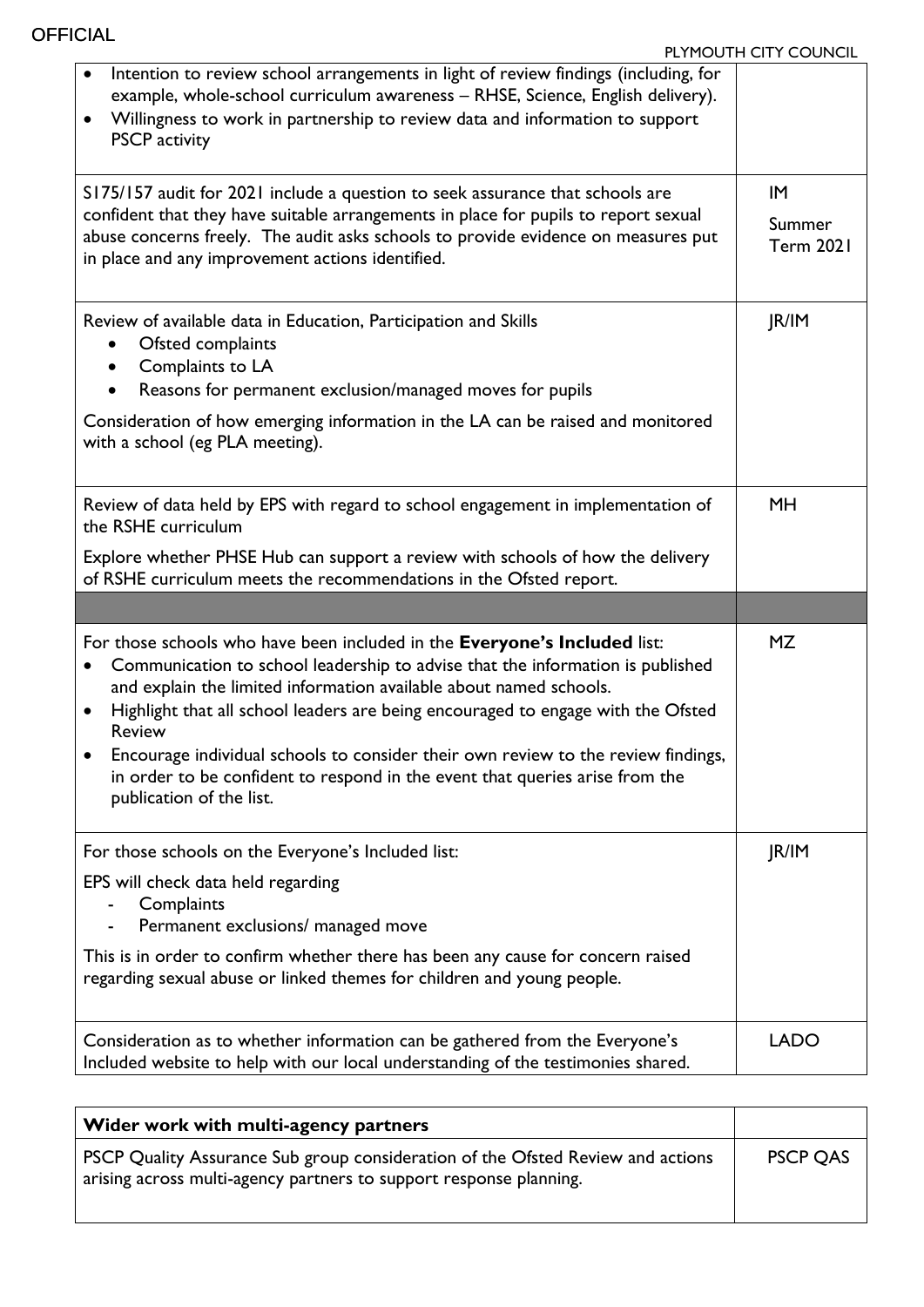| Intention to review school arrangements in light of review findings (including, for<br>example, whole-school curriculum awareness - RHSE, Science, English delivery).<br>Willingness to work in partnership to review data and information to support<br>$\bullet$<br><b>PSCP</b> activity                                                                                                                                                                                                                                                           |                                  |
|------------------------------------------------------------------------------------------------------------------------------------------------------------------------------------------------------------------------------------------------------------------------------------------------------------------------------------------------------------------------------------------------------------------------------------------------------------------------------------------------------------------------------------------------------|----------------------------------|
| S175/157 audit for 2021 include a question to seek assurance that schools are<br>confident that they have suitable arrangements in place for pupils to report sexual<br>abuse concerns freely. The audit asks schools to provide evidence on measures put<br>in place and any improvement actions identified.                                                                                                                                                                                                                                        | IM<br>Summer<br><b>Term 2021</b> |
| Review of available data in Education, Participation and Skills<br>Ofsted complaints<br>Complaints to LA<br>Reasons for permanent exclusion/managed moves for pupils<br>Consideration of how emerging information in the LA can be raised and monitored<br>with a school (eg PLA meeting).                                                                                                                                                                                                                                                           | JR/IM                            |
| Review of data held by EPS with regard to school engagement in implementation of<br>the RSHE curriculum<br>Explore whether PHSE Hub can support a review with schools of how the delivery<br>of RSHE curriculum meets the recommendations in the Ofsted report.                                                                                                                                                                                                                                                                                      | <b>MH</b>                        |
|                                                                                                                                                                                                                                                                                                                                                                                                                                                                                                                                                      |                                  |
| For those schools who have been included in the Everyone's Included list:<br>Communication to school leadership to advise that the information is published<br>and explain the limited information available about named schools.<br>Highlight that all school leaders are being encouraged to engage with the Ofsted<br>$\bullet$<br><b>Review</b><br>Encourage individual schools to consider their own review to the review findings,<br>in order to be confident to respond in the event that queries arise from the<br>publication of the list. | <b>MZ</b>                        |
| For those schools on the Everyone's Included list:                                                                                                                                                                                                                                                                                                                                                                                                                                                                                                   | JR/IM                            |
| EPS will check data held regarding<br>Complaints<br>Permanent exclusions/ managed move<br>This is in order to confirm whether there has been any cause for concern raised<br>regarding sexual abuse or linked themes for children and young people.                                                                                                                                                                                                                                                                                                  |                                  |
|                                                                                                                                                                                                                                                                                                                                                                                                                                                                                                                                                      |                                  |

| <b>PSCP QAS</b> |
|-----------------|
|                 |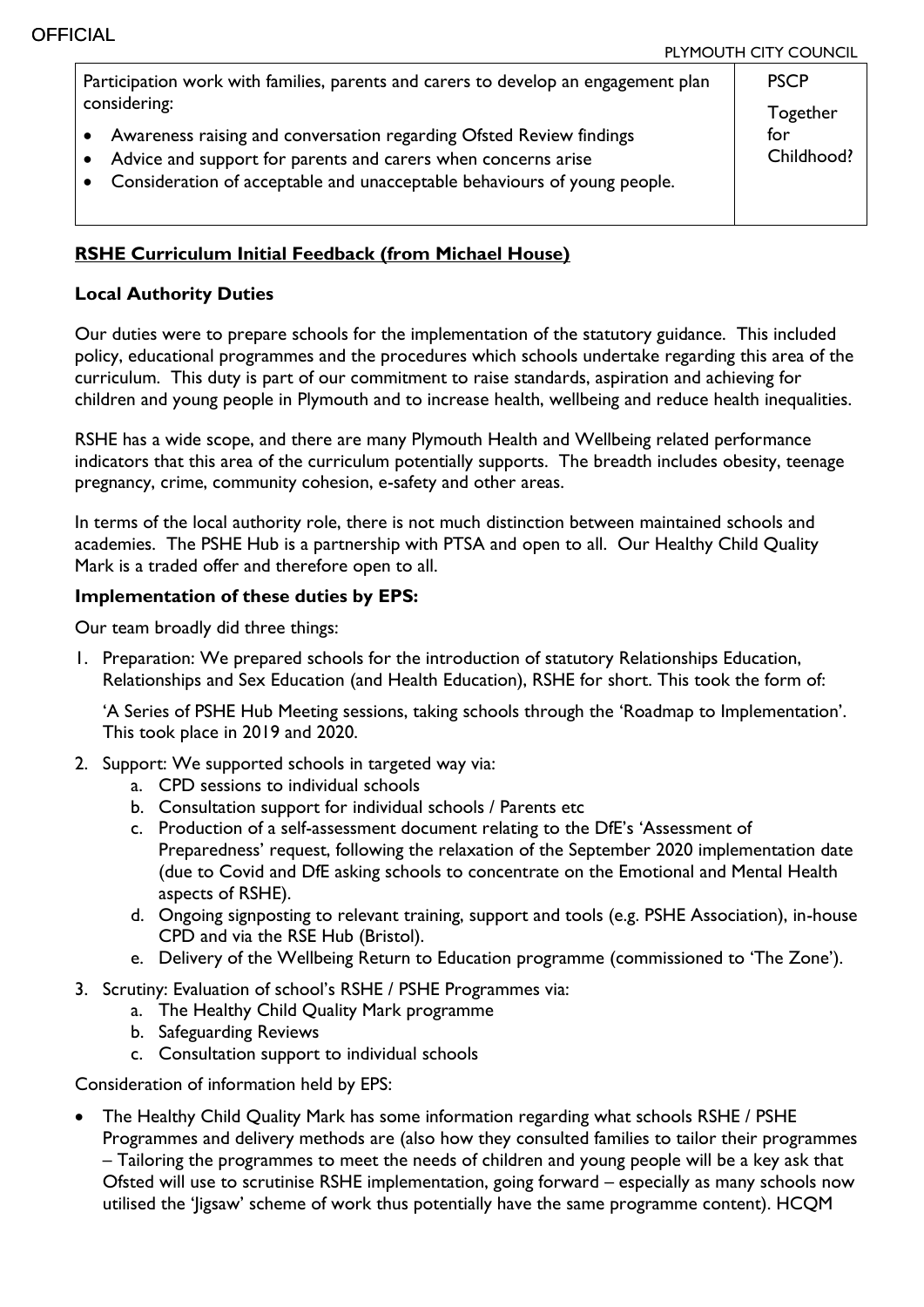| Participation work with families, parents and carers to develop an engagement plan                                                                                                                                            | <b>PSCP</b> |                   |
|-------------------------------------------------------------------------------------------------------------------------------------------------------------------------------------------------------------------------------|-------------|-------------------|
| considering:                                                                                                                                                                                                                  |             | Together          |
| Awareness raising and conversation regarding Ofsted Review findings<br>Advice and support for parents and carers when concerns arise<br>Consideration of acceptable and unacceptable behaviours of young people.<br>$\bullet$ |             | for<br>Childhood? |

# **RSHE Curriculum Initial Feedback (from Michael House)**

### **Local Authority Duties**

Our duties were to prepare schools for the implementation of the statutory guidance. This included policy, educational programmes and the procedures which schools undertake regarding this area of the curriculum. This duty is part of our commitment to raise standards, aspiration and achieving for children and young people in Plymouth and to increase health, wellbeing and reduce health inequalities.

RSHE has a wide scope, and there are many Plymouth Health and Wellbeing related performance indicators that this area of the curriculum potentially supports. The breadth includes obesity, teenage pregnancy, crime, community cohesion, e-safety and other areas.

In terms of the local authority role, there is not much distinction between maintained schools and academies. The PSHE Hub is a partnership with PTSA and open to all. Our Healthy Child Quality Mark is a traded offer and therefore open to all.

### **Implementation of these duties by EPS:**

Our team broadly did three things:

1. Preparation: We prepared schools for the introduction of statutory Relationships Education, Relationships and Sex Education (and Health Education), RSHE for short. This took the form of:

'A Series of PSHE Hub Meeting sessions, taking schools through the 'Roadmap to Implementation'. This took place in 2019 and 2020.

- 2. Support: We supported schools in targeted way via:
	- a. CPD sessions to individual schools
	- b. Consultation support for individual schools / Parents etc
	- c. Production of a self-assessment document relating to the DfE's 'Assessment of Preparedness' request, following the relaxation of the September 2020 implementation date (due to Covid and DfE asking schools to concentrate on the Emotional and Mental Health aspects of RSHE).
	- d. Ongoing signposting to relevant training, support and tools (e.g. PSHE Association), in-house CPD and via the RSE Hub (Bristol).
	- e. Delivery of the Wellbeing Return to Education programme (commissioned to 'The Zone').
- 3. Scrutiny: Evaluation of school's RSHE / PSHE Programmes via:
	- a. The Healthy Child Quality Mark programme
	- b. Safeguarding Reviews
	- c. Consultation support to individual schools

Consideration of information held by EPS:

 The Healthy Child Quality Mark has some information regarding what schools RSHE / PSHE Programmes and delivery methods are (also how they consulted families to tailor their programmes – Tailoring the programmes to meet the needs of children and young people will be a key ask that Ofsted will use to scrutinise RSHE implementation, going forward – especially as many schools now utilised the 'Jigsaw' scheme of work thus potentially have the same programme content). HCQM